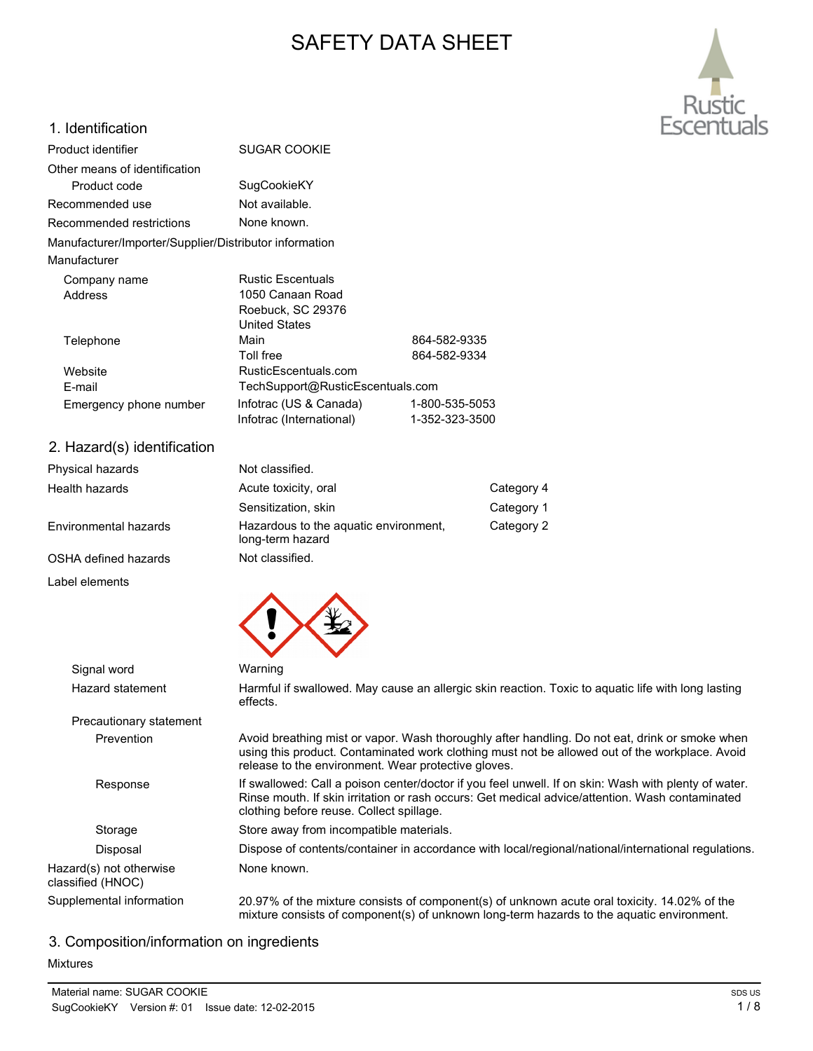# SAFETY DATA SHEET



## 1. Identification

| Product identifier                                     | <b>SUGAR COOKIE</b>              |                |
|--------------------------------------------------------|----------------------------------|----------------|
| Other means of identification                          |                                  |                |
| Product code                                           | SugCookieKY                      |                |
| Recommended use                                        | Not available.                   |                |
| Recommended restrictions                               | None known.                      |                |
| Manufacturer/Importer/Supplier/Distributor information |                                  |                |
| Manufacturer                                           |                                  |                |
| Company name                                           | <b>Rustic Escentuals</b>         |                |
| Address                                                | 1050 Canaan Road                 |                |
|                                                        | Roebuck, SC 29376                |                |
|                                                        | <b>United States</b>             |                |
| Telephone                                              | Main                             | 864-582-9335   |
|                                                        | <b>Toll free</b>                 | 864-582-9334   |
| Website                                                | RusticEscentuals.com             |                |
| E-mail                                                 | TechSupport@RusticEscentuals.com |                |
| Emergency phone number                                 | Infotrac (US & Canada)           | 1-800-535-5053 |
|                                                        | Infotrac (International)         | 1-352-323-3500 |

2. Hazard(s) identification

| Physical hazards      | Not classified.                                           |            |
|-----------------------|-----------------------------------------------------------|------------|
| Health hazards        | Acute toxicity, oral                                      | Category 4 |
|                       | Sensitization, skin                                       | Category 1 |
| Environmental hazards | Hazardous to the aquatic environment,<br>long-term hazard | Category 2 |
| OSHA defined hazards  | Not classified.                                           |            |
|                       |                                                           |            |

Label elements



Signal word Warning

Precautionary statement

Hazard statement Harmful if swallowed. May cause an allergic skin reaction. Toxic to aquatic life with long lasting effects.

Prevention Avoid breathing mist or vapor. Wash thoroughly after handling. Do not eat, drink or smoke when using this product. Contaminated work clothing must not be allowed out of the workplace. Avoid release to the environment. Wear protective gloves.

Response If swallowed: Call a poison center/doctor if you feel unwell. If on skin: Wash with plenty of water. Rinse mouth. If skin irritation or rash occurs: Get medical advice/attention. Wash contaminated clothing before reuse. Collect spillage.

Storage Store away from incompatible materials.

Disposal Dispose of contents/container in accordance with local/regional/national/international regulations.

Hazard(s) not otherwise None known.

classified (HNOC)

Supplemental information 20.97% of the mixture consists of component(s) of unknown acute oral toxicity. 14.02% of the mixture consists of component(s) of unknown long-term hazards to the aquatic environment.

# 3. Composition/information on ingredients

## Mixtures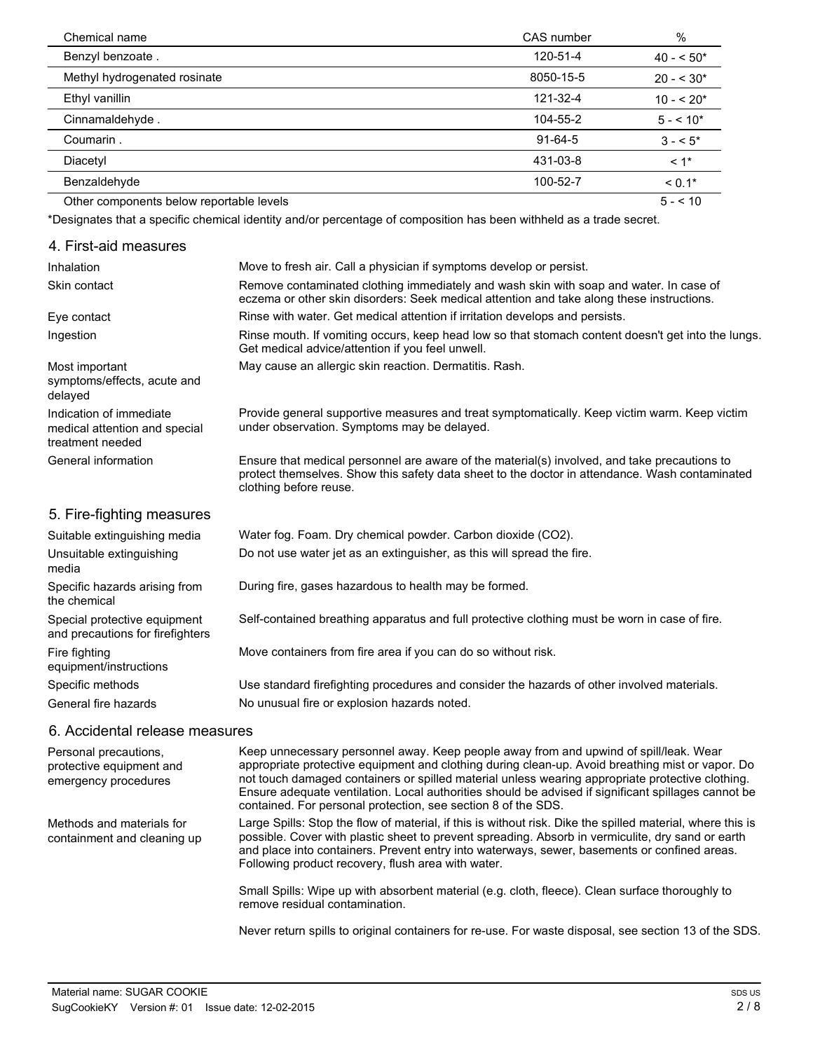| Chemical name                            | CAS number    | %            |
|------------------------------------------|---------------|--------------|
| Benzyl benzoate.                         | 120-51-4      | $40 - 50*$   |
| Methyl hydrogenated rosinate             | 8050-15-5     | $20 - 530*$  |
| Ethyl vanillin                           | 121-32-4      | $10 - 520*$  |
| Cinnamaldehyde.                          | 104-55-2      | $5 - 10*$    |
| Coumarin.                                | $91 - 64 - 5$ | $3 - 5$      |
| Diacetyl                                 | 431-03-8      | $< 1$ *      |
| Benzaldehyde                             | 100-52-7      | $< 0.1*$     |
| Other components below reportable levels |               | $5 - 5 = 10$ |

\*Designates that a specific chemical identity and/or percentage of composition has been withheld as a trade secret.

#### 4. First-aid measures Inhalation Move to fresh air. Call a physician if symptoms develop or persist. Remove contaminated clothing immediately and wash skin with soap and water. In case of eczema or other skin disorders: Seek medical attention and take along these instructions. Skin contact Eye contact **Rinse with water. Get medical attention if irritation develops and persists.** Rinse mouth. If vomiting occurs, keep head low so that stomach content doesn't get into the lungs. Get medical advice/attention if you feel unwell. Ingestion Most important May cause an allergic skin reaction. Dermatitis. Rash. symptoms/effects, acute and delayed Provide general supportive measures and treat symptomatically. Keep victim warm. Keep victim under observation. Symptoms may be delayed. Indication of immediate medical attention and special treatment needed Ensure that medical personnel are aware of the material(s) involved, and take precautions to protect themselves. Show this safety data sheet to the doctor in attendance. Wash contaminated clothing before reuse. General information 5. Fire-fighting measures Suitable extinguishing media Water fog. Foam. Dry chemical powder. Carbon dioxide (CO2). Unsuitable extinguishing Do not use water jet as an extinguisher, as this will spread the fire. media Specific hazards arising from During fire, gases hazardous to health may be formed. the chemical Special protective equipment Self-contained breathing apparatus and full protective clothing must be worn in case of fire. and precautions for firefighters

Fire fighting **Move containers from fire area if you can do so without risk.** equipment/instructions

Specific methods Use standard firefighting procedures and consider the hazards of other involved materials.

General fire hazards No unusual fire or explosion hazards noted.

## 6. Accidental release measures

Personal precautions, protective equipment and emergency procedures

Methods and materials for containment and cleaning up Keep unnecessary personnel away. Keep people away from and upwind of spill/leak. Wear appropriate protective equipment and clothing during clean-up. Avoid breathing mist or vapor. Do not touch damaged containers or spilled material unless wearing appropriate protective clothing. Ensure adequate ventilation. Local authorities should be advised if significant spillages cannot be contained. For personal protection, see section 8 of the SDS.

Large Spills: Stop the flow of material, if this is without risk. Dike the spilled material, where this is possible. Cover with plastic sheet to prevent spreading. Absorb in vermiculite, dry sand or earth and place into containers. Prevent entry into waterways, sewer, basements or confined areas. Following product recovery, flush area with water.

Small Spills: Wipe up with absorbent material (e.g. cloth, fleece). Clean surface thoroughly to remove residual contamination.

Never return spills to original containers for re-use. For waste disposal, see section 13 of the SDS.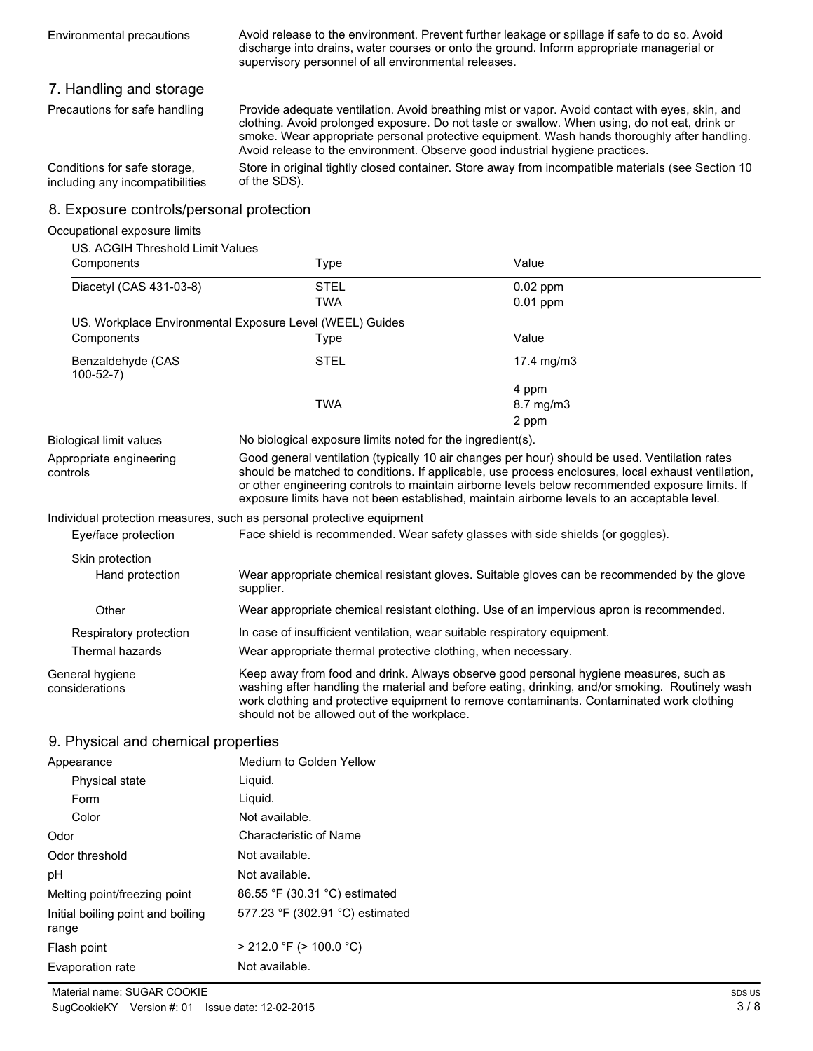Avoid release to the environment. Prevent further leakage or spillage if safe to do so. Avoid discharge into drains, water courses or onto the ground. Inform appropriate managerial or supervisory personnel of all environmental releases.

## 7. Handling and storage

Precautions for safe handling

Provide adequate ventilation. Avoid breathing mist or vapor. Avoid contact with eyes, skin, and clothing. Avoid prolonged exposure. Do not taste or swallow. When using, do not eat, drink or smoke. Wear appropriate personal protective equipment. Wash hands thoroughly after handling. Avoid release to the environment. Observe good industrial hygiene practices.

Store in original tightly closed container. Store away from incompatible materials (see Section 10 of the SDS). Conditions for safe storage, including any incompatibilities

## 8. Exposure controls/personal protection

| Occupational exposure limits        |                                                                                          |                                                                                                                                                                                                                                                                                                                                                                                                        |  |
|-------------------------------------|------------------------------------------------------------------------------------------|--------------------------------------------------------------------------------------------------------------------------------------------------------------------------------------------------------------------------------------------------------------------------------------------------------------------------------------------------------------------------------------------------------|--|
| US. ACGIH Threshold Limit Values    |                                                                                          |                                                                                                                                                                                                                                                                                                                                                                                                        |  |
| Components                          | Type                                                                                     | Value                                                                                                                                                                                                                                                                                                                                                                                                  |  |
| Diacetyl (CAS 431-03-8)             | <b>STEL</b>                                                                              | $0.02$ ppm                                                                                                                                                                                                                                                                                                                                                                                             |  |
|                                     | <b>TWA</b>                                                                               | $0.01$ ppm                                                                                                                                                                                                                                                                                                                                                                                             |  |
|                                     | US. Workplace Environmental Exposure Level (WEEL) Guides                                 |                                                                                                                                                                                                                                                                                                                                                                                                        |  |
| Components                          | Type                                                                                     | Value                                                                                                                                                                                                                                                                                                                                                                                                  |  |
| Benzaldehyde (CAS<br>$100 - 52 - 7$ | <b>STEL</b>                                                                              | 17.4 mg/m3                                                                                                                                                                                                                                                                                                                                                                                             |  |
|                                     |                                                                                          | 4 ppm                                                                                                                                                                                                                                                                                                                                                                                                  |  |
|                                     | <b>TWA</b>                                                                               | 8.7 mg/m3                                                                                                                                                                                                                                                                                                                                                                                              |  |
|                                     |                                                                                          | 2 ppm                                                                                                                                                                                                                                                                                                                                                                                                  |  |
| <b>Biological limit values</b>      | No biological exposure limits noted for the ingredient(s).                               |                                                                                                                                                                                                                                                                                                                                                                                                        |  |
| Appropriate engineering<br>controls |                                                                                          | Good general ventilation (typically 10 air changes per hour) should be used. Ventilation rates<br>should be matched to conditions. If applicable, use process enclosures, local exhaust ventilation,<br>or other engineering controls to maintain airborne levels below recommended exposure limits. If<br>exposure limits have not been established, maintain airborne levels to an acceptable level. |  |
|                                     | Individual protection measures, such as personal protective equipment                    |                                                                                                                                                                                                                                                                                                                                                                                                        |  |
| Eye/face protection                 |                                                                                          | Face shield is recommended. Wear safety glasses with side shields (or goggles).                                                                                                                                                                                                                                                                                                                        |  |
| Skin protection                     |                                                                                          |                                                                                                                                                                                                                                                                                                                                                                                                        |  |
| Hand protection                     | supplier.                                                                                | Wear appropriate chemical resistant gloves. Suitable gloves can be recommended by the glove                                                                                                                                                                                                                                                                                                            |  |
| Other                               | Wear appropriate chemical resistant clothing. Use of an impervious apron is recommended. |                                                                                                                                                                                                                                                                                                                                                                                                        |  |
| Respiratory protection              |                                                                                          | In case of insufficient ventilation, wear suitable respiratory equipment.                                                                                                                                                                                                                                                                                                                              |  |
| Thermal hazards                     | Wear appropriate thermal protective clothing, when necessary.                            |                                                                                                                                                                                                                                                                                                                                                                                                        |  |
| General hygiene<br>considerations   | should not be allowed out of the workplace.                                              | Keep away from food and drink. Always observe good personal hygiene measures, such as<br>washing after handling the material and before eating, drinking, and/or smoking. Routinely wash<br>work clothing and protective equipment to remove contaminants. Contaminated work clothing                                                                                                                  |  |

## 9. Physical and chemical properties

| Appearance                                 | Medium to Golden Yellow         |
|--------------------------------------------|---------------------------------|
| Physical state                             | Liquid.                         |
| Form                                       | Liquid.                         |
| Color                                      | Not available.                  |
| Odor                                       | Characteristic of Name          |
| Odor threshold                             | Not available.                  |
| рH                                         | Not available.                  |
| Melting point/freezing point               | 86.55 °F (30.31 °C) estimated   |
| Initial boiling point and boiling<br>range | 577.23 °F (302.91 °C) estimated |
| Flash point                                | $>$ 212.0 °F ( $>$ 100.0 °C)    |
| Evaporation rate                           | Not available.                  |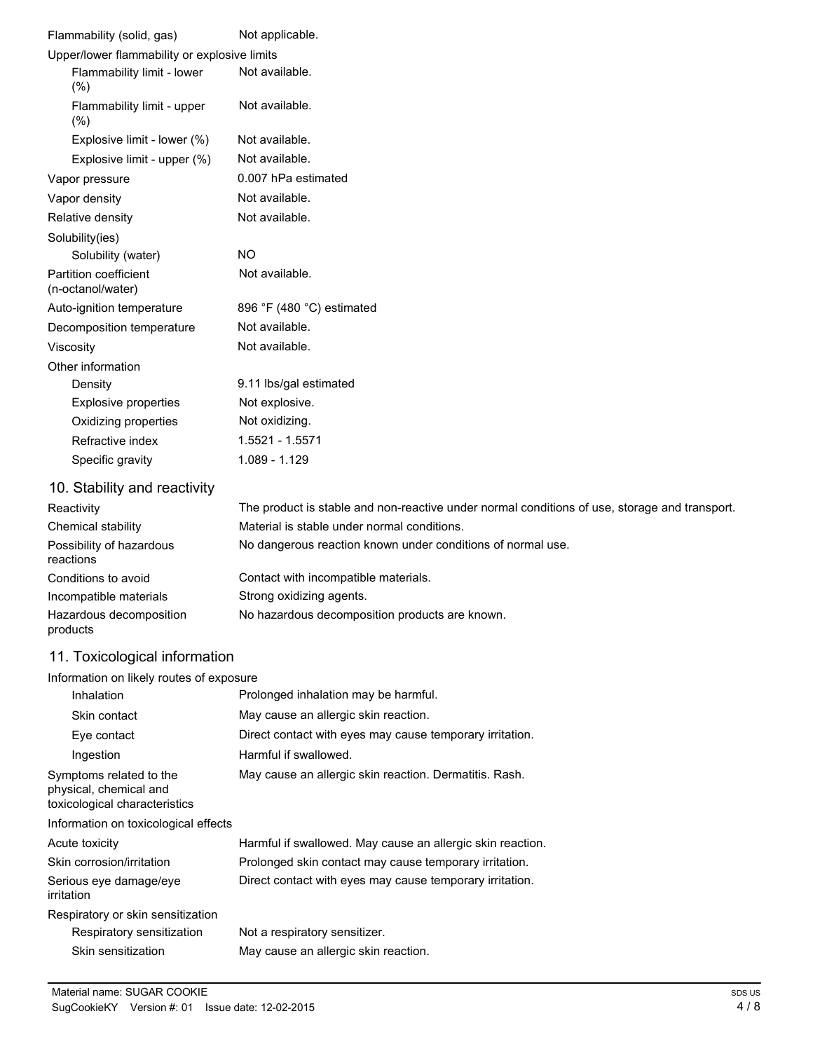| Flammability (solid, gas)                         | Not applicable.                                                                               |
|---------------------------------------------------|-----------------------------------------------------------------------------------------------|
| Upper/lower flammability or explosive limits      |                                                                                               |
| Flammability limit - lower<br>(%)                 | Not available.                                                                                |
| Flammability limit - upper<br>(% )                | Not available.                                                                                |
| Explosive limit - lower (%)                       | Not available.                                                                                |
| Explosive limit - upper (%)                       | Not available.                                                                                |
| Vapor pressure                                    | 0.007 hPa estimated                                                                           |
| Vapor density                                     | Not available.                                                                                |
| Relative density                                  | Not available.                                                                                |
| Solubility(ies)                                   |                                                                                               |
| Solubility (water)                                | <b>NO</b>                                                                                     |
| <b>Partition coefficient</b><br>(n-octanol/water) | Not available.                                                                                |
| Auto-ignition temperature                         | 896 °F (480 °C) estimated                                                                     |
| Decomposition temperature                         | Not available.                                                                                |
| Viscosity                                         | Not available.                                                                                |
| Other information                                 |                                                                                               |
| Density                                           | 9.11 lbs/gal estimated                                                                        |
| <b>Explosive properties</b>                       | Not explosive.                                                                                |
| Oxidizing properties                              | Not oxidizing.                                                                                |
| Refractive index                                  | 1.5521 - 1.5571                                                                               |
| Specific gravity                                  | 1.089 - 1.129                                                                                 |
| 10. Stability and reactivity                      |                                                                                               |
| Reactivity                                        | The product is stable and non-reactive under normal conditions of use, storage and transport. |
| Chemical stability                                | Material is stable under normal conditions.                                                   |
| Possibility of hazardous<br>reactions             | No dangerous reaction known under conditions of normal use.                                   |
| Conditions to avoid                               | Contact with incompatible materials.                                                          |
| Incompatible materials                            | Strong oxidizing agents.                                                                      |

# 11. Toxicological information

products

## Information on likely routes of exposure

| Inhalation                                                                         | Prolonged inhalation may be harmful.                       |
|------------------------------------------------------------------------------------|------------------------------------------------------------|
| Skin contact                                                                       | May cause an allergic skin reaction.                       |
| Eye contact                                                                        | Direct contact with eyes may cause temporary irritation.   |
| Ingestion                                                                          | Harmful if swallowed.                                      |
| Symptoms related to the<br>physical, chemical and<br>toxicological characteristics | May cause an allergic skin reaction. Dermatitis. Rash.     |
| Information on toxicological effects                                               |                                                            |
| Acute toxicity                                                                     | Harmful if swallowed. May cause an allergic skin reaction. |
| Skin corrosion/irritation                                                          | Prolonged skin contact may cause temporary irritation.     |
| Serious eye damage/eye<br>irritation                                               | Direct contact with eyes may cause temporary irritation.   |
| Respiratory or skin sensitization                                                  |                                                            |
| Respiratory sensitization                                                          | Not a respiratory sensitizer.                              |
| Skin sensitization                                                                 | May cause an allergic skin reaction.                       |

Hazardous decomposition No hazardous decomposition products are known.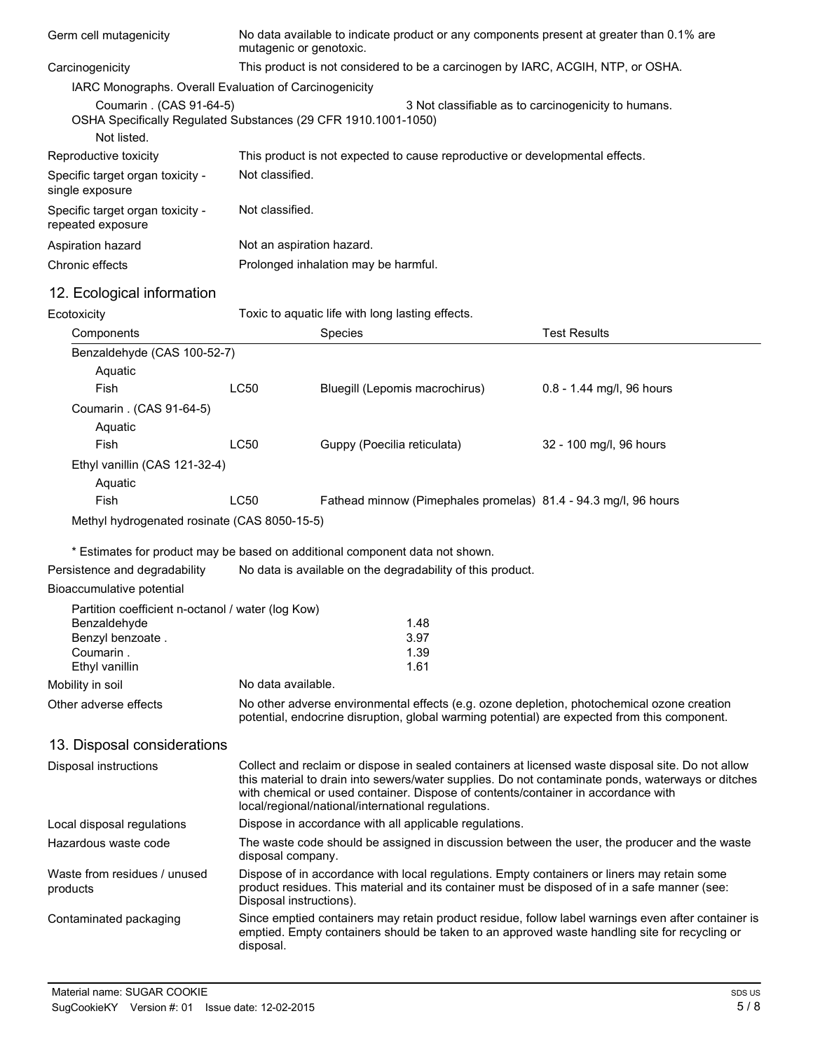| Germ cell mutagenicity                                                                     | No data available to indicate product or any components present at greater than 0.1% are<br>mutagenic or genotoxic.                                                                        |                                                                                                                                                                                                                        |                                                                                                                                                                                                                                                                                             |  |
|--------------------------------------------------------------------------------------------|--------------------------------------------------------------------------------------------------------------------------------------------------------------------------------------------|------------------------------------------------------------------------------------------------------------------------------------------------------------------------------------------------------------------------|---------------------------------------------------------------------------------------------------------------------------------------------------------------------------------------------------------------------------------------------------------------------------------------------|--|
| Carcinogenicity                                                                            | This product is not considered to be a carcinogen by IARC, ACGIH, NTP, or OSHA.                                                                                                            |                                                                                                                                                                                                                        |                                                                                                                                                                                                                                                                                             |  |
| IARC Monographs. Overall Evaluation of Carcinogenicity                                     |                                                                                                                                                                                            |                                                                                                                                                                                                                        |                                                                                                                                                                                                                                                                                             |  |
| Coumarin . (CAS 91-64-5)<br>OSHA Specifically Regulated Substances (29 CFR 1910.1001-1050) |                                                                                                                                                                                            |                                                                                                                                                                                                                        | 3 Not classifiable as to carcinogenicity to humans.                                                                                                                                                                                                                                         |  |
| Not listed.                                                                                |                                                                                                                                                                                            |                                                                                                                                                                                                                        |                                                                                                                                                                                                                                                                                             |  |
| Reproductive toxicity                                                                      |                                                                                                                                                                                            | This product is not expected to cause reproductive or developmental effects.                                                                                                                                           |                                                                                                                                                                                                                                                                                             |  |
| Specific target organ toxicity -<br>single exposure                                        |                                                                                                                                                                                            | Not classified.                                                                                                                                                                                                        |                                                                                                                                                                                                                                                                                             |  |
| Specific target organ toxicity -<br>repeated exposure                                      | Not classified.                                                                                                                                                                            |                                                                                                                                                                                                                        |                                                                                                                                                                                                                                                                                             |  |
| Aspiration hazard                                                                          | Not an aspiration hazard.                                                                                                                                                                  |                                                                                                                                                                                                                        |                                                                                                                                                                                                                                                                                             |  |
| Chronic effects                                                                            |                                                                                                                                                                                            | Prolonged inhalation may be harmful.                                                                                                                                                                                   |                                                                                                                                                                                                                                                                                             |  |
| 12. Ecological information                                                                 |                                                                                                                                                                                            |                                                                                                                                                                                                                        |                                                                                                                                                                                                                                                                                             |  |
| Ecotoxicity                                                                                |                                                                                                                                                                                            | Toxic to aquatic life with long lasting effects.                                                                                                                                                                       |                                                                                                                                                                                                                                                                                             |  |
| Components                                                                                 |                                                                                                                                                                                            | Species                                                                                                                                                                                                                | <b>Test Results</b>                                                                                                                                                                                                                                                                         |  |
| Benzaldehyde (CAS 100-52-7)                                                                |                                                                                                                                                                                            |                                                                                                                                                                                                                        |                                                                                                                                                                                                                                                                                             |  |
| Aquatic                                                                                    |                                                                                                                                                                                            |                                                                                                                                                                                                                        |                                                                                                                                                                                                                                                                                             |  |
| Fish                                                                                       | <b>LC50</b>                                                                                                                                                                                | Bluegill (Lepomis macrochirus)                                                                                                                                                                                         | 0.8 - 1.44 mg/l, 96 hours                                                                                                                                                                                                                                                                   |  |
| Coumarin . (CAS 91-64-5)                                                                   |                                                                                                                                                                                            |                                                                                                                                                                                                                        |                                                                                                                                                                                                                                                                                             |  |
| Aquatic                                                                                    |                                                                                                                                                                                            |                                                                                                                                                                                                                        |                                                                                                                                                                                                                                                                                             |  |
| Fish                                                                                       | <b>LC50</b>                                                                                                                                                                                | Guppy (Poecilia reticulata)                                                                                                                                                                                            | 32 - 100 mg/l, 96 hours                                                                                                                                                                                                                                                                     |  |
| Ethyl vanillin (CAS 121-32-4)<br>Aquatic                                                   |                                                                                                                                                                                            |                                                                                                                                                                                                                        |                                                                                                                                                                                                                                                                                             |  |
| Fish                                                                                       | <b>LC50</b>                                                                                                                                                                                |                                                                                                                                                                                                                        | Fathead minnow (Pimephales promelas) 81.4 - 94.3 mg/l, 96 hours                                                                                                                                                                                                                             |  |
| Methyl hydrogenated rosinate (CAS 8050-15-5)                                               |                                                                                                                                                                                            |                                                                                                                                                                                                                        |                                                                                                                                                                                                                                                                                             |  |
|                                                                                            |                                                                                                                                                                                            | * Estimates for product may be based on additional component data not shown.                                                                                                                                           |                                                                                                                                                                                                                                                                                             |  |
| Persistence and degradability                                                              |                                                                                                                                                                                            | No data is available on the degradability of this product.                                                                                                                                                             |                                                                                                                                                                                                                                                                                             |  |
| Bioaccumulative potential                                                                  |                                                                                                                                                                                            |                                                                                                                                                                                                                        |                                                                                                                                                                                                                                                                                             |  |
| Partition coefficient n-octanol / water (log Kow)                                          |                                                                                                                                                                                            |                                                                                                                                                                                                                        |                                                                                                                                                                                                                                                                                             |  |
| Benzaldehyde                                                                               |                                                                                                                                                                                            | 1.48                                                                                                                                                                                                                   |                                                                                                                                                                                                                                                                                             |  |
| Benzyl benzoate.<br>Coumarin.                                                              |                                                                                                                                                                                            | 3.97<br>1.39                                                                                                                                                                                                           |                                                                                                                                                                                                                                                                                             |  |
| Ethyl vanillin                                                                             |                                                                                                                                                                                            | 1.61                                                                                                                                                                                                                   |                                                                                                                                                                                                                                                                                             |  |
| Mobility in soil                                                                           | No data available.                                                                                                                                                                         |                                                                                                                                                                                                                        |                                                                                                                                                                                                                                                                                             |  |
| Other adverse effects                                                                      | No other adverse environmental effects (e.g. ozone depletion, photochemical ozone creation<br>potential, endocrine disruption, global warming potential) are expected from this component. |                                                                                                                                                                                                                        |                                                                                                                                                                                                                                                                                             |  |
| 13. Disposal considerations                                                                |                                                                                                                                                                                            |                                                                                                                                                                                                                        |                                                                                                                                                                                                                                                                                             |  |
| Disposal instructions                                                                      |                                                                                                                                                                                            | local/regional/national/international regulations.                                                                                                                                                                     | Collect and reclaim or dispose in sealed containers at licensed waste disposal site. Do not allow<br>this material to drain into sewers/water supplies. Do not contaminate ponds, waterways or ditches<br>with chemical or used container. Dispose of contents/container in accordance with |  |
| Local disposal regulations                                                                 | Dispose in accordance with all applicable regulations.                                                                                                                                     |                                                                                                                                                                                                                        |                                                                                                                                                                                                                                                                                             |  |
| Hazardous waste code                                                                       |                                                                                                                                                                                            | The waste code should be assigned in discussion between the user, the producer and the waste<br>disposal company.                                                                                                      |                                                                                                                                                                                                                                                                                             |  |
| Waste from residues / unused<br>products                                                   |                                                                                                                                                                                            | Dispose of in accordance with local regulations. Empty containers or liners may retain some<br>product residues. This material and its container must be disposed of in a safe manner (see:<br>Disposal instructions). |                                                                                                                                                                                                                                                                                             |  |
| Contaminated packaging                                                                     | disposal.                                                                                                                                                                                  |                                                                                                                                                                                                                        | Since emptied containers may retain product residue, follow label warnings even after container is<br>emptied. Empty containers should be taken to an approved waste handling site for recycling or                                                                                         |  |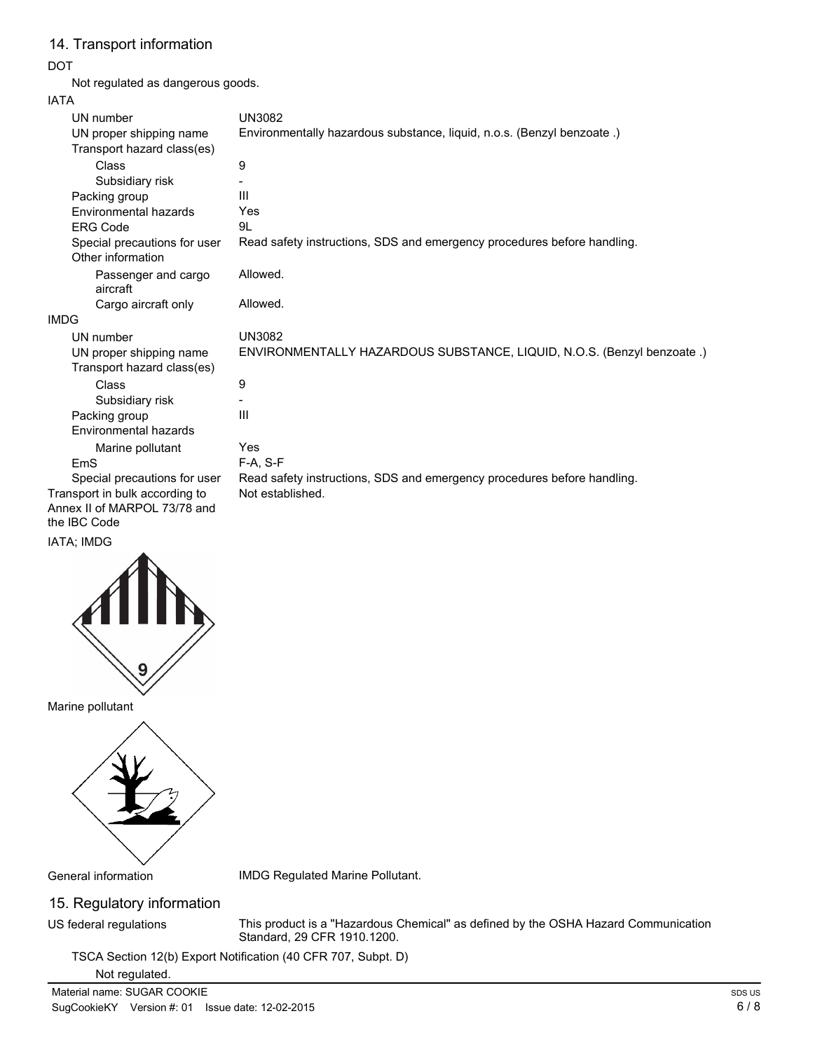# 14. Transport information

### DOT

Not regulated as dangerous goods.

### IATA

| ה ו הו                                                |                                                                         |
|-------------------------------------------------------|-------------------------------------------------------------------------|
| UN number                                             | <b>UN3082</b>                                                           |
| UN proper shipping name                               | Environmentally hazardous substance, liquid, n.o.s. (Benzyl benzoate.)  |
| Transport hazard class(es)                            |                                                                         |
| Class                                                 | 9                                                                       |
| Subsidiary risk                                       |                                                                         |
| Packing group                                         | Ш                                                                       |
| Environmental hazards                                 | Yes                                                                     |
| <b>ERG Code</b>                                       | 9L                                                                      |
| Special precautions for user<br>Other information     | Read safety instructions, SDS and emergency procedures before handling. |
| Passenger and cargo<br>aircraft                       | Allowed.                                                                |
| Cargo aircraft only                                   | Allowed.                                                                |
| <b>IMDG</b>                                           |                                                                         |
| UN number                                             | <b>UN3082</b>                                                           |
| UN proper shipping name<br>Transport hazard class(es) | ENVIRONMENTALLY HAZARDOUS SUBSTANCE, LIQUID, N.O.S. (Benzyl benzoate.)  |
| <b>Class</b>                                          | 9                                                                       |
| Subsidiary risk                                       |                                                                         |
| Packing group                                         | Ш                                                                       |
| Environmental hazards                                 |                                                                         |
| Marine pollutant                                      | Yes                                                                     |
| EmS                                                   | $F-A, S-F$                                                              |
| Special precautions for user                          | Read safety instructions, SDS and emergency procedures before handling. |
| Transport in bulk according to                        | Not established.                                                        |
| Annex II of MARPOL 73/78 and                          |                                                                         |
| the IBC Code                                          |                                                                         |

### IATA; IMDG



Marine pollutant



General information IMDG Regulated Marine Pollutant.

# 15. Regulatory information

US federal regulations

This product is a "Hazardous Chemical" as defined by the OSHA Hazard Communication Standard, 29 CFR 1910.1200.

TSCA Section 12(b) Export Notification (40 CFR 707, Subpt. D)

### Not regulated.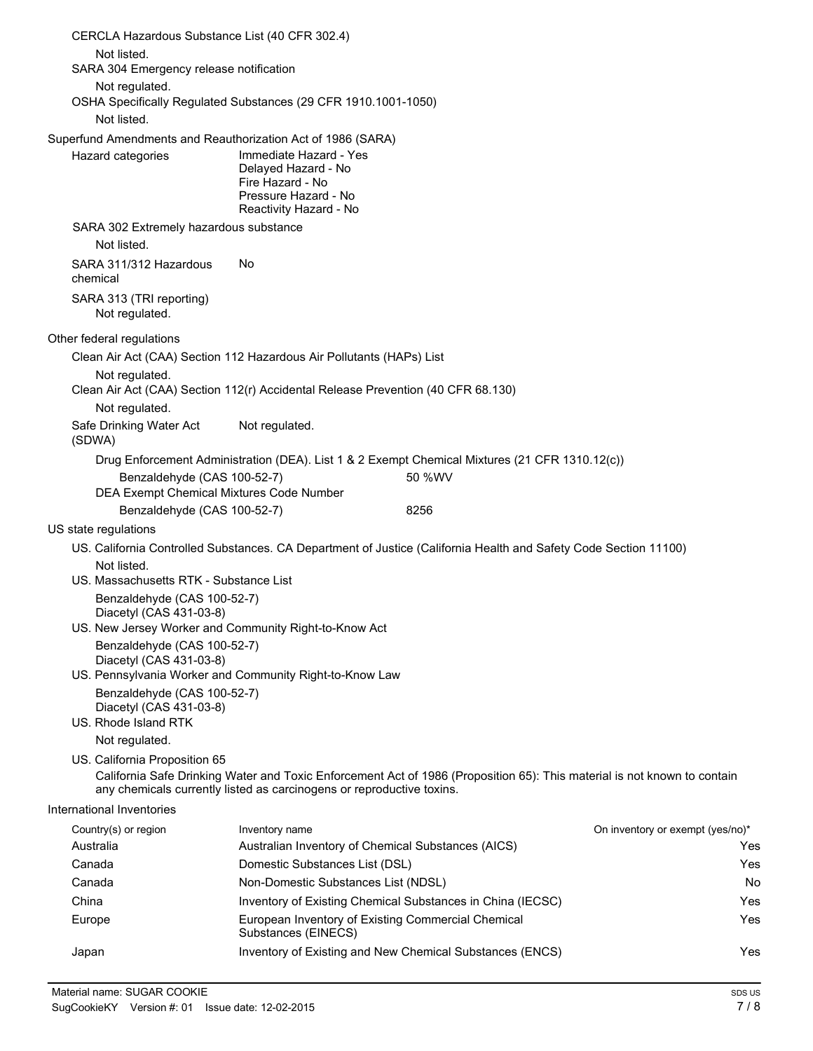|       | CERCLA Hazardous Substance List (40 CFR 302.4)                                 |                                                                                                                                                                                    |                                                                                                                          |                                  |
|-------|--------------------------------------------------------------------------------|------------------------------------------------------------------------------------------------------------------------------------------------------------------------------------|--------------------------------------------------------------------------------------------------------------------------|----------------------------------|
|       | Not listed.<br>SARA 304 Emergency release notification                         |                                                                                                                                                                                    |                                                                                                                          |                                  |
|       | Not regulated.                                                                 | OSHA Specifically Regulated Substances (29 CFR 1910.1001-1050)                                                                                                                     |                                                                                                                          |                                  |
|       | Not listed.                                                                    |                                                                                                                                                                                    |                                                                                                                          |                                  |
|       | Hazard categories                                                              | Superfund Amendments and Reauthorization Act of 1986 (SARA)<br>Immediate Hazard - Yes<br>Delayed Hazard - No<br>Fire Hazard - No<br>Pressure Hazard - No<br>Reactivity Hazard - No |                                                                                                                          |                                  |
|       | SARA 302 Extremely hazardous substance<br>Not listed.                          |                                                                                                                                                                                    |                                                                                                                          |                                  |
|       | SARA 311/312 Hazardous<br>chemical                                             | No.                                                                                                                                                                                |                                                                                                                          |                                  |
|       | SARA 313 (TRI reporting)<br>Not regulated.                                     |                                                                                                                                                                                    |                                                                                                                          |                                  |
|       | Other federal regulations                                                      |                                                                                                                                                                                    |                                                                                                                          |                                  |
|       |                                                                                | Clean Air Act (CAA) Section 112 Hazardous Air Pollutants (HAPs) List                                                                                                               |                                                                                                                          |                                  |
|       | Not regulated.                                                                 | Clean Air Act (CAA) Section 112(r) Accidental Release Prevention (40 CFR 68.130)                                                                                                   |                                                                                                                          |                                  |
|       | Not regulated.                                                                 |                                                                                                                                                                                    |                                                                                                                          |                                  |
|       | Safe Drinking Water Act<br>(SDWA)                                              | Not regulated.                                                                                                                                                                     |                                                                                                                          |                                  |
|       |                                                                                |                                                                                                                                                                                    | Drug Enforcement Administration (DEA). List 1 & 2 Exempt Chemical Mixtures (21 CFR 1310.12(c))                           |                                  |
|       | Benzaldehyde (CAS 100-52-7)<br>DEA Exempt Chemical Mixtures Code Number        |                                                                                                                                                                                    | 50 %WV                                                                                                                   |                                  |
|       | Benzaldehyde (CAS 100-52-7)                                                    |                                                                                                                                                                                    | 8256                                                                                                                     |                                  |
|       | US state regulations                                                           |                                                                                                                                                                                    |                                                                                                                          |                                  |
|       |                                                                                |                                                                                                                                                                                    | US. California Controlled Substances. CA Department of Justice (California Health and Safety Code Section 11100)         |                                  |
|       | Not listed.                                                                    |                                                                                                                                                                                    |                                                                                                                          |                                  |
|       | US. Massachusetts RTK - Substance List                                         |                                                                                                                                                                                    |                                                                                                                          |                                  |
|       | Benzaldehyde (CAS 100-52-7)<br>Diacetyl (CAS 431-03-8)                         |                                                                                                                                                                                    |                                                                                                                          |                                  |
|       | Benzaldehyde (CAS 100-52-7)                                                    | US. New Jersey Worker and Community Right-to-Know Act                                                                                                                              |                                                                                                                          |                                  |
|       | Diacetyl (CAS 431-03-8)                                                        | US. Pennsylvania Worker and Community Right-to-Know Law                                                                                                                            |                                                                                                                          |                                  |
|       | Benzaldehyde (CAS 100-52-7)<br>Diacetyl (CAS 431-03-8)<br>US. Rhode Island RTK |                                                                                                                                                                                    |                                                                                                                          |                                  |
|       | Not regulated.                                                                 |                                                                                                                                                                                    |                                                                                                                          |                                  |
|       | US. California Proposition 65                                                  | any chemicals currently listed as carcinogens or reproductive toxins.                                                                                                              | California Safe Drinking Water and Toxic Enforcement Act of 1986 (Proposition 65): This material is not known to contain |                                  |
|       | International Inventories                                                      |                                                                                                                                                                                    |                                                                                                                          |                                  |
|       | Country(s) or region                                                           | Inventory name                                                                                                                                                                     |                                                                                                                          | On inventory or exempt (yes/no)* |
|       | Australia                                                                      | Australian Inventory of Chemical Substances (AICS)                                                                                                                                 |                                                                                                                          | Yes                              |
|       | Canada                                                                         | Domestic Substances List (DSL)                                                                                                                                                     |                                                                                                                          | Yes                              |
|       | Canada                                                                         | Non-Domestic Substances List (NDSL)                                                                                                                                                |                                                                                                                          | No                               |
| China |                                                                                |                                                                                                                                                                                    | Inventory of Existing Chemical Substances in China (IECSC)                                                               | Yes                              |
|       | Europe                                                                         | European Inventory of Existing Commercial Chemical<br>Substances (EINECS)                                                                                                          |                                                                                                                          | Yes                              |
| Japan |                                                                                |                                                                                                                                                                                    | Inventory of Existing and New Chemical Substances (ENCS)                                                                 | Yes                              |